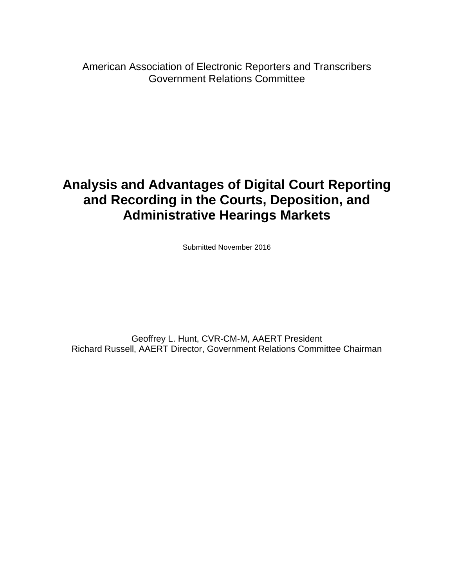American Association of Electronic Reporters and Transcribers Government Relations Committee

# **Analysis and Advantages of Digital Court Reporting and Recording in the Courts, Deposition, and Administrative Hearings Markets**

Submitted November 2016

Geoffrey L. Hunt, CVR-CM-M, AAERT President Richard Russell, AAERT Director, Government Relations Committee Chairman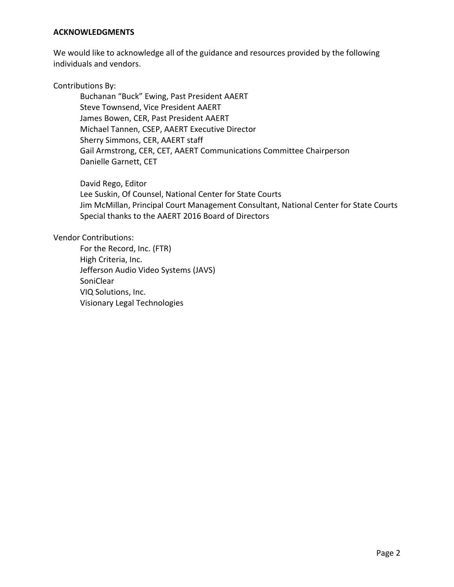#### <span id="page-1-0"></span>**ACKNOWLEDGMENTS**

We would like to acknowledge all of the guidance and resources provided by the following individuals and vendors.

#### Contributions By:

Buchanan "Buck" Ewing, Past President AAERT Steve Townsend, Vice President AAERT James Bowen, CER, Past President AAERT Michael Tannen, CSEP, AAERT Executive Director Sherry Simmons, CER, AAERT staff Gail Armstrong, CER, CET, AAERT Communications Committee Chairperson Danielle Garnett, CET

David Rego, Editor Lee Suskin, Of Counsel, National Center for State Courts Jim McMillan, Principal Court Management Consultant, National Center for State Courts Special thanks to the AAERT 2016 Board of Directors

Vendor Contributions:

For the Record, Inc. (FTR) High Criteria, Inc. Jefferson Audio Video Systems (JAVS) SoniClear VIQ Solutions, Inc. Visionary Legal Technologies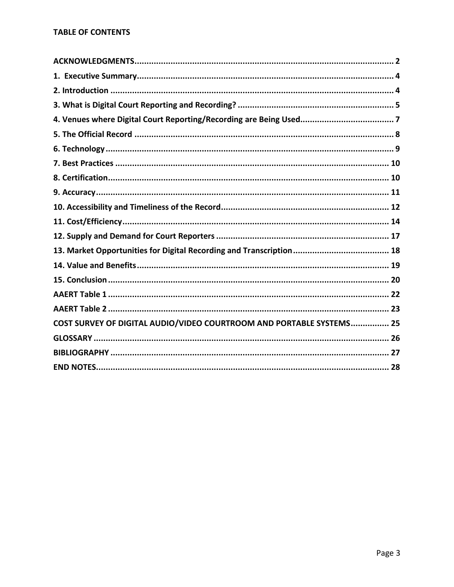| COST SURVEY OF DIGITAL AUDIO/VIDEO COURTROOM AND PORTABLE SYSTEMS 25 |
|----------------------------------------------------------------------|
|                                                                      |
|                                                                      |
|                                                                      |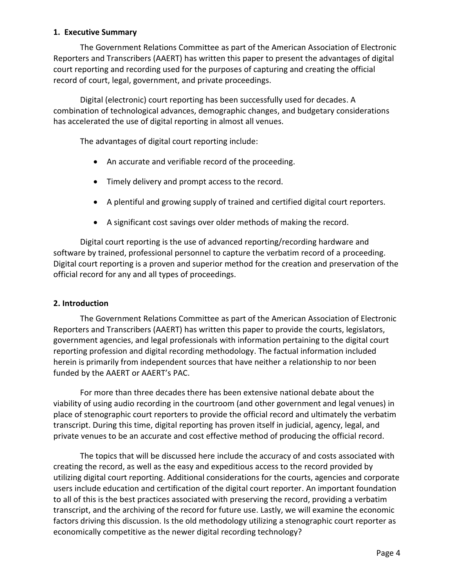#### <span id="page-3-0"></span>**1. Executive Summary**

The Government Relations Committee as part of the American Association of Electronic Reporters and Transcribers (AAERT) has written this paper to present the advantages of digital court reporting and recording used for the purposes of capturing and creating the official record of court, legal, government, and private proceedings.

Digital (electronic) court reporting has been successfully used for decades. A combination of technological advances, demographic changes, and budgetary considerations has accelerated the use of digital reporting in almost all venues.

The advantages of digital court reporting include:

- An accurate and verifiable record of the proceeding.
- Timely delivery and prompt access to the record.
- A plentiful and growing supply of trained and certified digital court reporters.
- A significant cost savings over older methods of making the record.

Digital court reporting is the use of advanced reporting/recording hardware and software by trained, professional personnel to capture the verbatim record of a proceeding. Digital court reporting is a proven and superior method for the creation and preservation of the official record for any and all types of proceedings.

#### <span id="page-3-1"></span>**2. Introduction**

The Government Relations Committee as part of the American Association of Electronic Reporters and Transcribers (AAERT) has written this paper to provide the courts, legislators, government agencies, and legal professionals with information pertaining to the digital court reporting profession and digital recording methodology. The factual information included herein is primarily from independent sources that have neither a relationship to nor been funded by the AAERT or AAERT's PAC.

For more than three decades there has been extensive national debate about the viability of using audio recording in the courtroom (and other government and legal venues) in place of stenographic court reporters to provide the official record and ultimately the verbatim transcript. During this time, digital reporting has proven itself in judicial, agency, legal, and private venues to be an accurate and cost effective method of producing the official record.

The topics that will be discussed here include the accuracy of and costs associated with creating the record, as well as the easy and expeditious access to the record provided by utilizing digital court reporting. Additional considerations for the courts, agencies and corporate users include education and certification of the digital court reporter. An important foundation to all of this is the best practices associated with preserving the record, providing a verbatim transcript, and the archiving of the record for future use. Lastly, we will examine the economic factors driving this discussion. Is the old methodology utilizing a stenographic court reporter as economically competitive as the newer digital recording technology?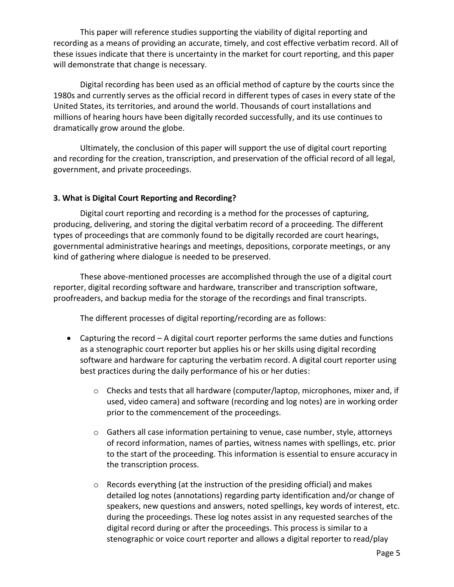This paper will reference studies supporting the viability of digital reporting and recording as a means of providing an accurate, timely, and cost effective verbatim record. All of these issues indicate that there is uncertainty in the market for court reporting, and this paper will demonstrate that change is necessary.

Digital recording has been used as an official method of capture by the courts since the 1980s and currently serves as the official record in different types of cases in every state of the United States, its territories, and around the world. Thousands of court installations and millions of hearing hours have been digitally recorded successfully, and its use continues to dramatically grow around the globe.

Ultimately, the conclusion of this paper will support the use of digital court reporting and recording for the creation, transcription, and preservation of the official record of all legal, government, and private proceedings.

#### <span id="page-4-0"></span>**3. What is Digital Court Reporting and Recording?**

Digital court reporting and recording is a method for the processes of capturing, producing, delivering, and storing the digital verbatim record of a proceeding. The different types of proceedings that are commonly found to be digitally recorded are court hearings, governmental administrative hearings and meetings, depositions, corporate meetings, or any kind of gathering where dialogue is needed to be preserved.

These above-mentioned processes are accomplished through the use of a digital court reporter, digital recording software and hardware, transcriber and transcription software, proofreaders, and backup media for the storage of the recordings and final transcripts.

The different processes of digital reporting/recording are as follows:

- Capturing the record A digital court reporter performs the same duties and functions as a stenographic court reporter but applies his or her skills using digital recording software and hardware for capturing the verbatim record. A digital court reporter using best practices during the daily performance of his or her duties:
	- o Checks and tests that all hardware (computer/laptop, microphones, mixer and, if used, video camera) and software (recording and log notes) are in working order prior to the commencement of the proceedings.
	- $\circ$  Gathers all case information pertaining to venue, case number, style, attorneys of record information, names of parties, witness names with spellings, etc. prior to the start of the proceeding. This information is essential to ensure accuracy in the transcription process.
	- o Records everything (at the instruction of the presiding official) and makes detailed log notes (annotations) regarding party identification and/or change of speakers, new questions and answers, noted spellings, key words of interest, etc. during the proceedings. These log notes assist in any requested searches of the digital record during or after the proceedings. This process is similar to a stenographic or voice court reporter and allows a digital reporter to read/play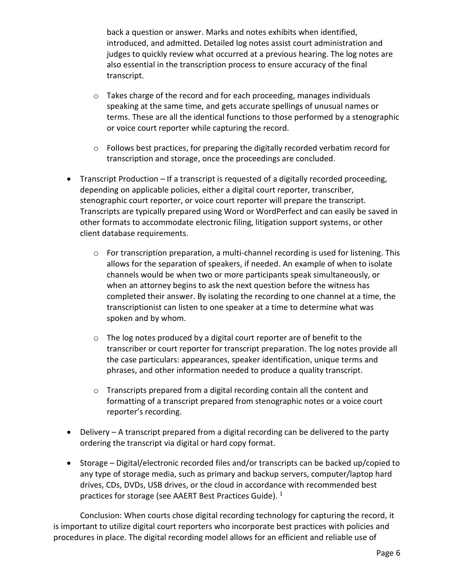back a question or answer. Marks and notes exhibits when identified, introduced, and admitted. Detailed log notes assist court administration and judges to quickly review what occurred at a previous hearing. The log notes are also essential in the transcription process to ensure accuracy of the final transcript.

- o Takes charge of the record and for each proceeding, manages individuals speaking at the same time, and gets accurate spellings of unusual names or terms. These are all the identical functions to those performed by a stenographic or voice court reporter while capturing the record.
- $\circ$  Follows best practices, for preparing the digitally recorded verbatim record for transcription and storage, once the proceedings are concluded.
- Transcript Production If a transcript is requested of a digitally recorded proceeding, depending on applicable policies, either a digital court reporter, transcriber, stenographic court reporter, or voice court reporter will prepare the transcript. Transcripts are typically prepared using Word or WordPerfect and can easily be saved in other formats to accommodate electronic filing, litigation support systems, or other client database requirements.
	- o For transcription preparation, a multi-channel recording is used for listening. This allows for the separation of speakers, if needed. An example of when to isolate channels would be when two or more participants speak simultaneously, or when an attorney begins to ask the next question before the witness has completed their answer. By isolating the recording to one channel at a time, the transcriptionist can listen to one speaker at a time to determine what was spoken and by whom.
	- o The log notes produced by a digital court reporter are of benefit to the transcriber or court reporter for transcript preparation. The log notes provide all the case particulars: appearances, speaker identification, unique terms and phrases, and other information needed to produce a quality transcript.
	- o Transcripts prepared from a digital recording contain all the content and formatting of a transcript prepared from stenographic notes or a voice court reporter's recording.
- Delivery A transcript prepared from a digital recording can be delivered to the party ordering the transcript via digital or hard copy format.
- Storage Digital/electronic recorded files and/or transcripts can be backed up/copied to any type of storage media, such as primary and backup servers, computer/laptop hard drives, CDs, DVDs, USB drives, or the cloud in accordance with recommended best practices for storage (see AAERT Best Practices Guide).  $^1$

Conclusion: When courts chose digital recording technology for capturing the record, it is important to utilize digital court reporters who incorporate best practices with policies and procedures in place. The digital recording model allows for an efficient and reliable use of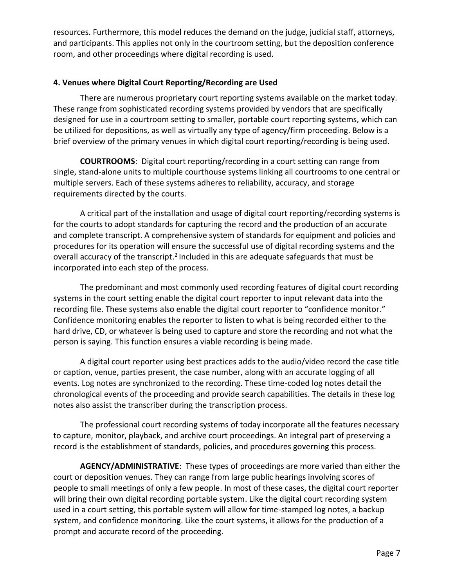resources. Furthermore, this model reduces the demand on the judge, judicial staff, attorneys, and participants. This applies not only in the courtroom setting, but the deposition conference room, and other proceedings where digital recording is used.

#### <span id="page-6-0"></span>**4. Venues where Digital Court Reporting/Recording are Used**

There are numerous proprietary court reporting systems available on the market today. These range from sophisticated recording systems provided by vendors that are specifically designed for use in a courtroom setting to smaller, portable court reporting systems, which can be utilized for depositions, as well as virtually any type of agency/firm proceeding. Below is a brief overview of the primary venues in which digital court reporting/recording is being used.

**COURTROOMS**: Digital court reporting/recording in a court setting can range from single, stand-alone units to multiple courthouse systems linking all courtrooms to one central or multiple servers. Each of these systems adheres to reliability, accuracy, and storage requirements directed by the courts.

A critical part of the installation and usage of digital court reporting/recording systems is for the courts to adopt standards for capturing the record and the production of an accurate and complete transcript. A comprehensive system of standards for equipment and policies and procedures for its operation will ensure the successful use of digital recording systems and the overall accuracy of the transcript.<sup>2</sup> Included in this are adequate safeguards that must be incorporated into each step of the process.

The predominant and most commonly used recording features of digital court recording systems in the court setting enable the digital court reporter to input relevant data into the recording file. These systems also enable the digital court reporter to "confidence monitor." Confidence monitoring enables the reporter to listen to what is being recorded either to the hard drive, CD, or whatever is being used to capture and store the recording and not what the person is saying. This function ensures a viable recording is being made.

A digital court reporter using best practices adds to the audio/video record the case title or caption, venue, parties present, the case number, along with an accurate logging of all events. Log notes are synchronized to the recording. These time-coded log notes detail the chronological events of the proceeding and provide search capabilities. The details in these log notes also assist the transcriber during the transcription process.

The professional court recording systems of today incorporate all the features necessary to capture, monitor, playback, and archive court proceedings. An integral part of preserving a record is the establishment of standards, policies, and procedures governing this process.

**AGENCY/ADMINISTRATIVE**: These types of proceedings are more varied than either the court or deposition venues. They can range from large public hearings involving scores of people to small meetings of only a few people. In most of these cases, the digital court reporter will bring their own digital recording portable system. Like the digital court recording system used in a court setting, this portable system will allow for time-stamped log notes, a backup system, and confidence monitoring. Like the court systems, it allows for the production of a prompt and accurate record of the proceeding.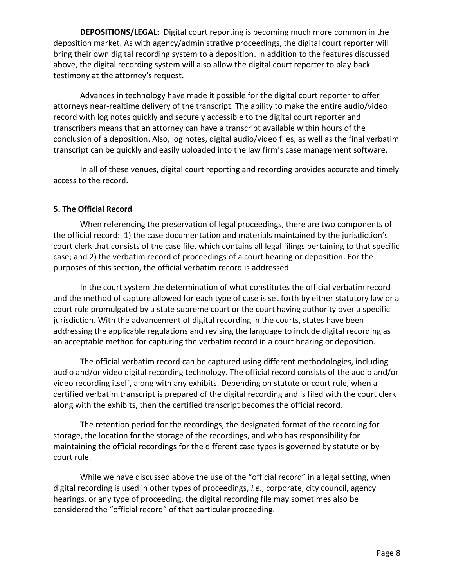**DEPOSITIONS/LEGAL:** Digital court reporting is becoming much more common in the deposition market. As with agency/administrative proceedings, the digital court reporter will bring their own digital recording system to a deposition. In addition to the features discussed above, the digital recording system will also allow the digital court reporter to play back testimony at the attorney's request.

Advances in technology have made it possible for the digital court reporter to offer attorneys near-realtime delivery of the transcript. The ability to make the entire audio/video record with log notes quickly and securely accessible to the digital court reporter and transcribers means that an attorney can have a transcript available within hours of the conclusion of a deposition. Also, log notes, digital audio/video files, as well as the final verbatim transcript can be quickly and easily uploaded into the law firm's case management software.

In all of these venues, digital court reporting and recording provides accurate and timely access to the record.

#### <span id="page-7-0"></span>**5. The Official Record**

When referencing the preservation of legal proceedings, there are two components of the official record: 1) the case documentation and materials maintained by the jurisdiction's court clerk that consists of the case file, which contains all legal filings pertaining to that specific case; and 2) the verbatim record of proceedings of a court hearing or deposition. For the purposes of this section, the official verbatim record is addressed.

In the court system the determination of what constitutes the official verbatim record and the method of capture allowed for each type of case is set forth by either statutory law or a court rule promulgated by a state supreme court or the court having authority over a specific jurisdiction. With the advancement of digital recording in the courts, states have been addressing the applicable regulations and revising the language to include digital recording as an acceptable method for capturing the verbatim record in a court hearing or deposition.

The official verbatim record can be captured using different methodologies, including audio and/or video digital recording technology. The official record consists of the audio and/or video recording itself, along with any exhibits. Depending on statute or court rule, when a certified verbatim transcript is prepared of the digital recording and is filed with the court clerk along with the exhibits, then the certified transcript becomes the official record.

The retention period for the recordings, the designated format of the recording for storage, the location for the storage of the recordings, and who has responsibility for maintaining the official recordings for the different case types is governed by statute or by court rule.

While we have discussed above the use of the "official record" in a legal setting, when digital recording is used in other types of proceedings, *i.e.*, corporate, city council, agency hearings, or any type of proceeding, the digital recording file may sometimes also be considered the "official record" of that particular proceeding.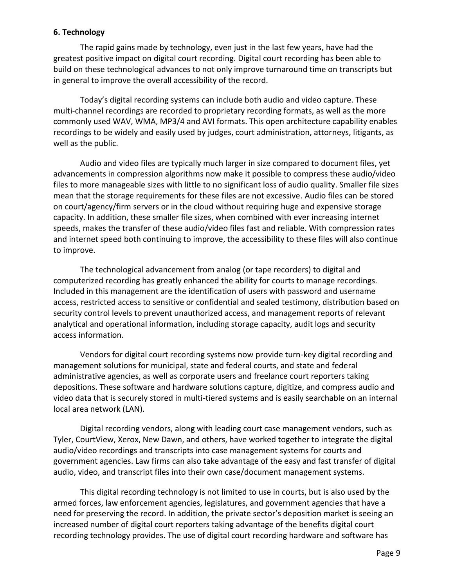#### <span id="page-8-0"></span>**6. Technology**

The rapid gains made by technology, even just in the last few years, have had the greatest positive impact on digital court recording. Digital court recording has been able to build on these technological advances to not only improve turnaround time on transcripts but in general to improve the overall accessibility of the record.

Today's digital recording systems can include both audio and video capture. These multi-channel recordings are recorded to proprietary recording formats, as well as the more commonly used WAV, WMA, MP3/4 and AVI formats. This open architecture capability enables recordings to be widely and easily used by judges, court administration, attorneys, litigants, as well as the public.

Audio and video files are typically much larger in size compared to document files, yet advancements in compression algorithms now make it possible to compress these audio/video files to more manageable sizes with little to no significant loss of audio quality. Smaller file sizes mean that the storage requirements for these files are not excessive. Audio files can be stored on court/agency/firm servers or in the cloud without requiring huge and expensive storage capacity. In addition, these smaller file sizes, when combined with ever increasing internet speeds, makes the transfer of these audio/video files fast and reliable. With compression rates and internet speed both continuing to improve, the accessibility to these files will also continue to improve.

The technological advancement from analog (or tape recorders) to digital and computerized recording has greatly enhanced the ability for courts to manage recordings. Included in this management are the identification of users with password and username access, restricted access to sensitive or confidential and sealed testimony, distribution based on security control levels to prevent unauthorized access, and management reports of relevant analytical and operational information, including storage capacity, audit logs and security access information.

Vendors for digital court recording systems now provide turn-key digital recording and management solutions for municipal, state and federal courts, and state and federal administrative agencies, as well as corporate users and freelance court reporters taking depositions. These software and hardware solutions capture, digitize, and compress audio and video data that is securely stored in multi-tiered systems and is easily searchable on an internal local area network (LAN).

Digital recording vendors, along with leading court case management vendors, such as Tyler, CourtView, Xerox, New Dawn, and others, have worked together to integrate the digital audio/video recordings and transcripts into case management systems for courts and government agencies. Law firms can also take advantage of the easy and fast transfer of digital audio, video, and transcript files into their own case/document management systems.

This digital recording technology is not limited to use in courts, but is also used by the armed forces, law enforcement agencies, legislatures, and government agencies that have a need for preserving the record. In addition, the private sector's deposition market is seeing an increased number of digital court reporters taking advantage of the benefits digital court recording technology provides. The use of digital court recording hardware and software has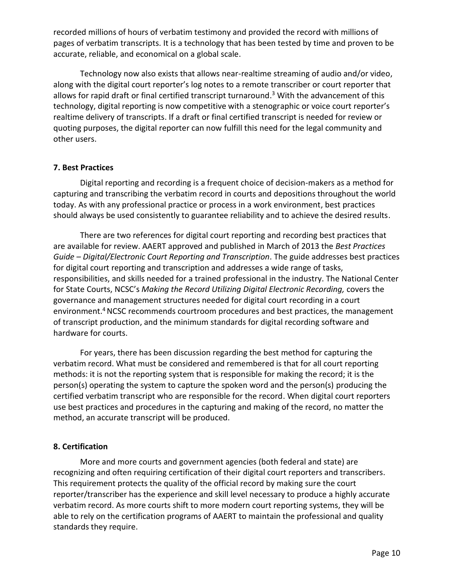recorded millions of hours of verbatim testimony and provided the record with millions of pages of verbatim transcripts. It is a technology that has been tested by time and proven to be accurate, reliable, and economical on a global scale.

Technology now also exists that allows near-realtime streaming of audio and/or video, along with the digital court reporter's log notes to a remote transcriber or court reporter that allows for rapid draft or final certified transcript turnaround.<sup>3</sup> With the advancement of this technology, digital reporting is now competitive with a stenographic or voice court reporter's realtime delivery of transcripts. If a draft or final certified transcript is needed for review or quoting purposes, the digital reporter can now fulfill this need for the legal community and other users.

#### <span id="page-9-0"></span>**7. Best Practices**

Digital reporting and recording is a frequent choice of decision-makers as a method for capturing and transcribing the verbatim record in courts and depositions throughout the world today. As with any professional practice or process in a work environment, best practices should always be used consistently to guarantee reliability and to achieve the desired results.

There are two references for digital court reporting and recording best practices that are available for review. AAERT approved and published in March of 2013 the *Best Practices Guide – Digital/Electronic Court Reporting and Transcription*. The guide addresses best practices for digital court reporting and transcription and addresses a wide range of tasks, responsibilities, and skills needed for a trained professional in the industry. The National Center for State Courts, NCSC's *Making the Record Utilizing Digital Electronic Recording,* covers the governance and management structures needed for digital court recording in a court environment. <sup>4</sup>NCSC recommends courtroom procedures and best practices, the management of transcript production, and the minimum standards for digital recording software and hardware for courts.

For years, there has been discussion regarding the best method for capturing the verbatim record. What must be considered and remembered is that for all court reporting methods: it is not the reporting system that is responsible for making the record; it is the person(s) operating the system to capture the spoken word and the person(s) producing the certified verbatim transcript who are responsible for the record. When digital court reporters use best practices and procedures in the capturing and making of the record, no matter the method, an accurate transcript will be produced.

### <span id="page-9-1"></span>**8. Certification**

More and more courts and government agencies (both federal and state) are recognizing and often requiring certification of their digital court reporters and transcribers. This requirement protects the quality of the official record by making sure the court reporter/transcriber has the experience and skill level necessary to produce a highly accurate verbatim record. As more courts shift to more modern court reporting systems, they will be able to rely on the certification programs of AAERT to maintain the professional and quality standards they require.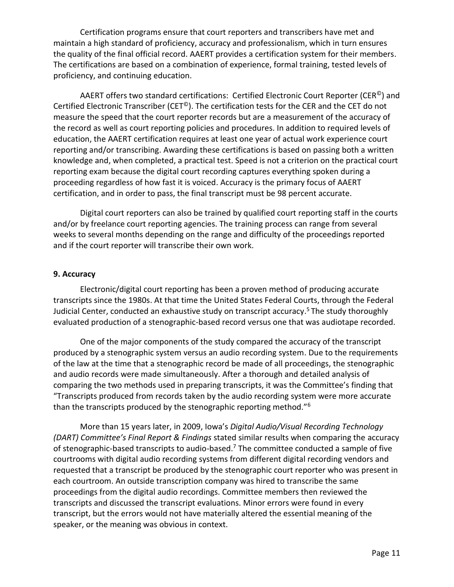Certification programs ensure that court reporters and transcribers have met and maintain a high standard of proficiency, accuracy and professionalism, which in turn ensures the quality of the final official record. AAERT provides a certification system for their members. The certifications are based on a combination of experience, formal training, tested levels of proficiency, and continuing education.

AAERT offers two standard certifications: Certified Electronic Court Reporter (CER<sup>©</sup>) and Certified Electronic Transcriber (CET©). The certification tests for the CER and the CET do not measure the speed that the court reporter records but are a measurement of the accuracy of the record as well as court reporting policies and procedures. In addition to required levels of education, the AAERT certification requires at least one year of actual work experience court reporting and/or transcribing. Awarding these certifications is based on passing both a written knowledge and, when completed, a practical test. Speed is not a criterion on the practical court reporting exam because the digital court recording captures everything spoken during a proceeding regardless of how fast it is voiced. Accuracy is the primary focus of AAERT certification, and in order to pass, the final transcript must be 98 percent accurate.

Digital court reporters can also be trained by qualified court reporting staff in the courts and/or by freelance court reporting agencies. The training process can range from several weeks to several months depending on the range and difficulty of the proceedings reported and if the court reporter will transcribe their own work.

#### <span id="page-10-0"></span>**9. Accuracy**

Electronic/digital court reporting has been a proven method of producing accurate transcripts since the 1980s. At that time the United States Federal Courts, through the Federal Judicial Center, conducted an exhaustive study on transcript accuracy. <sup>5</sup>The study thoroughly evaluated production of a stenographic-based record versus one that was audiotape recorded.

One of the major components of the study compared the accuracy of the transcript produced by a stenographic system versus an audio recording system. Due to the requirements of the law at the time that a stenographic record be made of all proceedings, the stenographic and audio records were made simultaneously. After a thorough and detailed analysis of comparing the two methods used in preparing transcripts, it was the Committee's finding that "Transcripts produced from records taken by the audio recording system were more accurate than the transcripts produced by the stenographic reporting method."<sup>6</sup>

More than 15 years later, in 2009, Iowa's *Digital Audio/Visual Recording Technology (DART) Committee's Final Report & Findings* stated similar results when comparing the accuracy of stenographic-based transcripts to audio-based.<sup>7</sup> The committee conducted a sample of five courtrooms with digital audio recording systems from different digital recording vendors and requested that a transcript be produced by the stenographic court reporter who was present in each courtroom. An outside transcription company was hired to transcribe the same proceedings from the digital audio recordings. Committee members then reviewed the transcripts and discussed the transcript evaluations. Minor errors were found in every transcript, but the errors would not have materially altered the essential meaning of the speaker, or the meaning was obvious in context.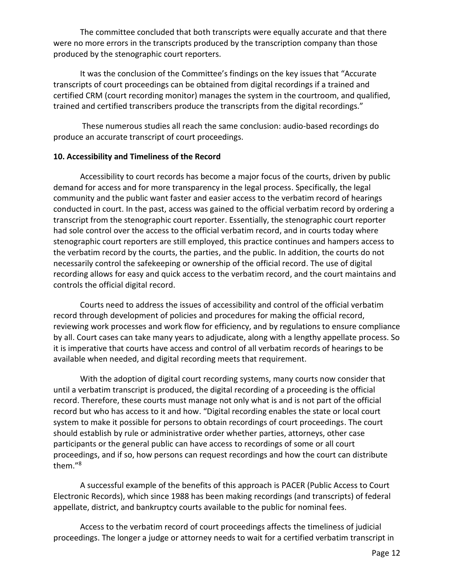The committee concluded that both transcripts were equally accurate and that there were no more errors in the transcripts produced by the transcription company than those produced by the stenographic court reporters.

It was the conclusion of the Committee's findings on the key issues that "Accurate transcripts of court proceedings can be obtained from digital recordings if a trained and certified CRM (court recording monitor) manages the system in the courtroom, and qualified, trained and certified transcribers produce the transcripts from the digital recordings."

<span id="page-11-0"></span>These numerous studies all reach the same conclusion: audio-based recordings do produce an accurate transcript of court proceedings.

#### **10. Accessibility and Timeliness of the Record**

Accessibility to court records has become a major focus of the courts, driven by public demand for access and for more transparency in the legal process. Specifically, the legal community and the public want faster and easier access to the verbatim record of hearings conducted in court. In the past, access was gained to the official verbatim record by ordering a transcript from the stenographic court reporter. Essentially, the stenographic court reporter had sole control over the access to the official verbatim record, and in courts today where stenographic court reporters are still employed, this practice continues and hampers access to the verbatim record by the courts, the parties, and the public. In addition, the courts do not necessarily control the safekeeping or ownership of the official record. The use of digital recording allows for easy and quick access to the verbatim record, and the court maintains and controls the official digital record.

Courts need to address the issues of accessibility and control of the official verbatim record through development of policies and procedures for making the official record, reviewing work processes and work flow for efficiency, and by regulations to ensure compliance by all. Court cases can take many years to adjudicate, along with a lengthy appellate process. So it is imperative that courts have access and control of all verbatim records of hearings to be available when needed, and digital recording meets that requirement.

With the adoption of digital court recording systems, many courts now consider that until a verbatim transcript is produced, the digital recording of a proceeding is the official record. Therefore, these courts must manage not only what is and is not part of the official record but who has access to it and how. "Digital recording enables the state or local court system to make it possible for persons to obtain recordings of court proceedings. The court should establish by rule or administrative order whether parties, attorneys, other case participants or the general public can have access to recordings of some or all court proceedings, and if so, how persons can request recordings and how the court can distribute them."<sup>8</sup>

A successful example of the benefits of this approach is PACER (Public Access to Court Electronic Records), which since 1988 has been making recordings (and transcripts) of federal appellate, district, and bankruptcy courts available to the public for nominal fees.

Access to the verbatim record of court proceedings affects the timeliness of judicial proceedings. The longer a judge or attorney needs to wait for a certified verbatim transcript in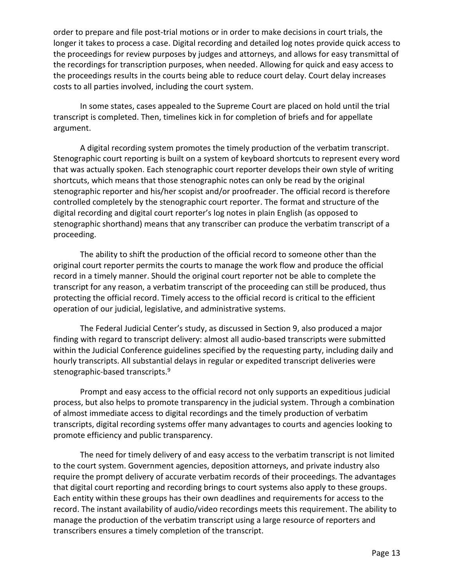order to prepare and file post-trial motions or in order to make decisions in court trials, the longer it takes to process a case. Digital recording and detailed log notes provide quick access to the proceedings for review purposes by judges and attorneys, and allows for easy transmittal of the recordings for transcription purposes, when needed. Allowing for quick and easy access to the proceedings results in the courts being able to reduce court delay. Court delay increases costs to all parties involved, including the court system.

In some states, cases appealed to the Supreme Court are placed on hold until the trial transcript is completed. Then, timelines kick in for completion of briefs and for appellate argument.

A digital recording system promotes the timely production of the verbatim transcript. Stenographic court reporting is built on a system of keyboard shortcuts to represent every word that was actually spoken. Each stenographic court reporter develops their own style of writing shortcuts, which means that those stenographic notes can only be read by the original stenographic reporter and his/her scopist and/or proofreader. The official record is therefore controlled completely by the stenographic court reporter. The format and structure of the digital recording and digital court reporter's log notes in plain English (as opposed to stenographic shorthand) means that any transcriber can produce the verbatim transcript of a proceeding.

The ability to shift the production of the official record to someone other than the original court reporter permits the courts to manage the work flow and produce the official record in a timely manner. Should the original court reporter not be able to complete the transcript for any reason, a verbatim transcript of the proceeding can still be produced, thus protecting the official record. Timely access to the official record is critical to the efficient operation of our judicial, legislative, and administrative systems.

The Federal Judicial Center's study, as discussed in Section 9, also produced a major finding with regard to transcript delivery: almost all audio-based transcripts were submitted within the Judicial Conference guidelines specified by the requesting party, including daily and hourly transcripts. All substantial delays in regular or expedited transcript deliveries were stenographic-based transcripts.<sup>9</sup>

Prompt and easy access to the official record not only supports an expeditious judicial process, but also helps to promote transparency in the judicial system. Through a combination of almost immediate access to digital recordings and the timely production of verbatim transcripts, digital recording systems offer many advantages to courts and agencies looking to promote efficiency and public transparency.

The need for timely delivery of and easy access to the verbatim transcript is not limited to the court system. Government agencies, deposition attorneys, and private industry also require the prompt delivery of accurate verbatim records of their proceedings. The advantages that digital court reporting and recording brings to court systems also apply to these groups. Each entity within these groups has their own deadlines and requirements for access to the record. The instant availability of audio/video recordings meets this requirement. The ability to manage the production of the verbatim transcript using a large resource of reporters and transcribers ensures a timely completion of the transcript.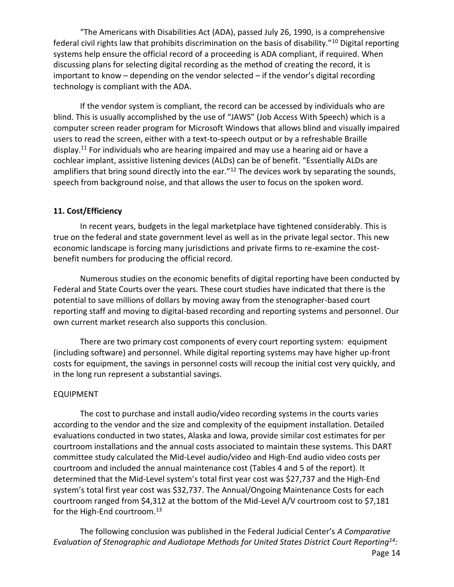"The Americans with Disabilities Act (ADA), passed July 26, 1990, is a comprehensive federal civil rights law that prohibits discrimination on the basis of disability."<sup>10</sup> Digital reporting systems help ensure the official record of a proceeding is ADA compliant, if required. When discussing plans for selecting digital recording as the method of creating the record, it is important to know – depending on the vendor selected – if the vendor's digital recording technology is compliant with the ADA.

If the vendor system is compliant, the record can be accessed by individuals who are blind. This is usually accomplished by the use of "JAWS" (Job Access With Speech) which is a computer screen reader program for Microsoft Windows that allows blind and visually impaired users to read the screen, either with a text-to-speech output or by a refreshable Braille display.<sup>11</sup> For individuals who are hearing impaired and may use a hearing aid or have a cochlear implant, assistive listening devices (ALDs) can be of benefit. "Essentially ALDs are amplifiers that bring sound directly into the ear."<sup>12</sup> The devices work by separating the sounds, speech from background noise, and that allows the user to focus on the spoken word.

#### <span id="page-13-0"></span>**11. Cost/Efficiency**

In recent years, budgets in the legal marketplace have tightened considerably. This is true on the federal and state government level as well as in the private legal sector. This new economic landscape is forcing many jurisdictions and private firms to re-examine the costbenefit numbers for producing the official record.

Numerous studies on the economic benefits of digital reporting have been conducted by Federal and State Courts over the years. These court studies have indicated that there is the potential to save millions of dollars by moving away from the stenographer-based court reporting staff and moving to digital-based recording and reporting systems and personnel. Our own current market research also supports this conclusion.

There are two primary cost components of every court reporting system: equipment (including software) and personnel. While digital reporting systems may have higher up-front costs for equipment, the savings in personnel costs will recoup the initial cost very quickly, and in the long run represent a substantial savings.

### EQUIPMENT

The cost to purchase and install audio/video recording systems in the courts varies according to the vendor and the size and complexity of the equipment installation. Detailed evaluations conducted in two states, Alaska and Iowa, provide similar cost estimates for per courtroom installations and the annual costs associated to maintain these systems. This DART committee study calculated the Mid-Level audio/video and High-End audio video costs per courtroom and included the annual maintenance cost (Tables 4 and 5 of the report). It determined that the Mid-Level system's total first year cost was \$27,737 and the High-End system's total first year cost was \$32,737. The Annual/Ongoing Maintenance Costs for each courtroom ranged from \$4,312 at the bottom of the Mid-Level A/V courtroom cost to \$7,181 for the High-End courtroom.<sup>13</sup>

The following conclusion was published in the Federal Judicial Center's *A Comparative Evaluation of Stenographic and Audiotape Methods for United States District Court Reporting14:*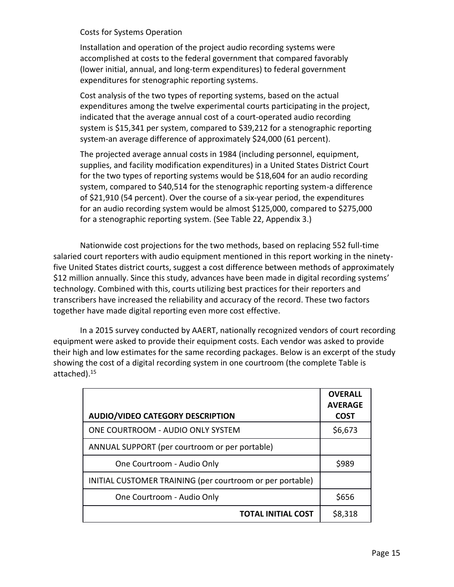#### Costs for Systems Operation

Installation and operation of the project audio recording systems were accomplished at costs to the federal government that compared favorably (lower initial, annual, and long-term expenditures) to federal government expenditures for stenographic reporting systems.

Cost analysis of the two types of reporting systems, based on the actual expenditures among the twelve experimental courts participating in the project, indicated that the average annual cost of a court-operated audio recording system is \$15,341 per system, compared to \$39,212 for a stenographic reporting system-an average difference of approximately \$24,000 (61 percent).

The projected average annual costs in 1984 (including personnel, equipment, supplies, and facility modification expenditures) in a United States District Court for the two types of reporting systems would be \$18,604 for an audio recording system, compared to \$40,514 for the stenographic reporting system-a difference of \$21,910 (54 percent). Over the course of a six-year period, the expenditures for an audio recording system would be almost \$125,000, compared to \$275,000 for a stenographic reporting system. (See Table 22, Appendix 3.)

Nationwide cost projections for the two methods, based on replacing 552 full-time salaried court reporters with audio equipment mentioned in this report working in the ninetyfive United States district courts, suggest a cost difference between methods of approximately \$12 million annually. Since this study, advances have been made in digital recording systems' technology. Combined with this, courts utilizing best practices for their reporters and transcribers have increased the reliability and accuracy of the record. These two factors together have made digital reporting even more cost effective.

In a 2015 survey conducted by AAERT, nationally recognized vendors of court recording equipment were asked to provide their equipment costs. Each vendor was asked to provide their high and low estimates for the same recording packages. Below is an excerpt of the study showing the cost of a digital recording system in one courtroom (the complete Table is attached). 15

|                                                           | <b>OVERALL</b><br><b>AVERAGE</b> |
|-----------------------------------------------------------|----------------------------------|
| <b>AUDIO/VIDEO CATEGORY DESCRIPTION</b>                   | <b>COST</b>                      |
| ONE COURTROOM - AUDIO ONLY SYSTEM                         | \$6,673                          |
| ANNUAL SUPPORT (per courtroom or per portable)            |                                  |
| One Courtroom - Audio Only                                | \$989                            |
| INITIAL CUSTOMER TRAINING (per courtroom or per portable) |                                  |
| One Courtroom - Audio Only                                | \$656                            |
| <b>TOTAL INITIAL COST</b>                                 | \$8,318                          |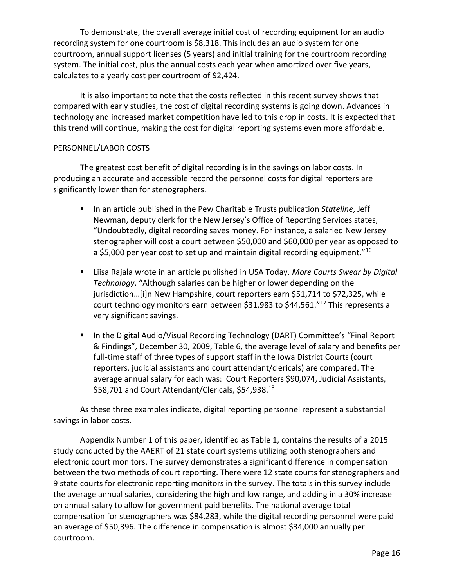To demonstrate, the overall average initial cost of recording equipment for an audio recording system for one courtroom is \$8,318. This includes an audio system for one courtroom, annual support licenses (5 years) and initial training for the courtroom recording system. The initial cost, plus the annual costs each year when amortized over five years, calculates to a yearly cost per courtroom of \$2,424.

It is also important to note that the costs reflected in this recent survey shows that compared with early studies, the cost of digital recording systems is going down. Advances in technology and increased market competition have led to this drop in costs. It is expected that this trend will continue, making the cost for digital reporting systems even more affordable.

#### PERSONNEL/LABOR COSTS

The greatest cost benefit of digital recording is in the savings on labor costs. In producing an accurate and accessible record the personnel costs for digital reporters are significantly lower than for stenographers.

- In an article published in the Pew Charitable Trusts publication *Stateline*, Jeff Newman, deputy clerk for the New Jersey's Office of Reporting Services states, "Undoubtedly, digital recording saves money. For instance, a salaried New Jersey stenographer will cost a court between \$50,000 and \$60,000 per year as opposed to a \$5,000 per year cost to set up and maintain digital recording equipment."<sup>16</sup>
- Liisa Rajala wrote in an article published in USA Today, *More Courts Swear by Digital Technology*, "Although salaries can be higher or lower depending on the jurisdiction...[i]n New Hampshire, court reporters earn \$51,714 to \$72,325, while court technology monitors earn between \$31,983 to \$44,561."<sup>17</sup> This represents a very significant savings.
- **IF In the Digital Audio/Visual Recording Technology (DART) Committee's "Final Report** & Findings", December 30, 2009, Table 6, the average level of salary and benefits per full-time staff of three types of support staff in the Iowa District Courts (court reporters, judicial assistants and court attendant/clericals) are compared. The average annual salary for each was: Court Reporters \$90,074, Judicial Assistants, \$58,701 and Court Attendant/Clericals, \$54,938.<sup>18</sup>

As these three examples indicate, digital reporting personnel represent a substantial savings in labor costs.

Appendix Number 1 of this paper, identified as Table 1, contains the results of a 2015 study conducted by the AAERT of 21 state court systems utilizing both stenographers and electronic court monitors. The survey demonstrates a significant difference in compensation between the two methods of court reporting. There were 12 state courts for stenographers and 9 state courts for electronic reporting monitors in the survey. The totals in this survey include the average annual salaries, considering the high and low range, and adding in a 30% increase on annual salary to allow for government paid benefits. The national average total compensation for stenographers was \$84,283, while the digital recording personnel were paid an average of \$50,396. The difference in compensation is almost \$34,000 annually per courtroom.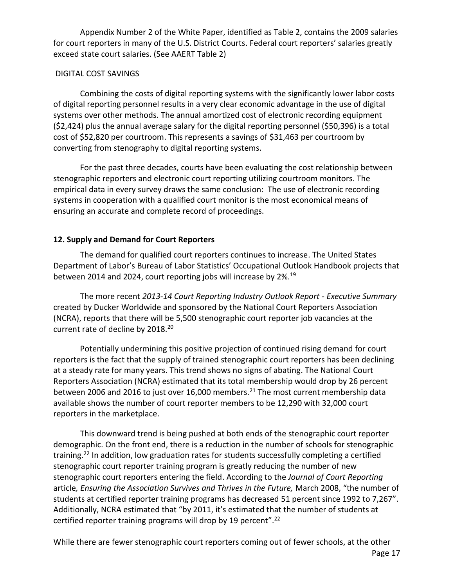Appendix Number 2 of the White Paper, identified as Table 2, contains the 2009 salaries for court reporters in many of the U.S. District Courts. Federal court reporters' salaries greatly exceed state court salaries. (See AAERT Table 2)

#### DIGITAL COST SAVINGS

Combining the costs of digital reporting systems with the significantly lower labor costs of digital reporting personnel results in a very clear economic advantage in the use of digital systems over other methods. The annual amortized cost of electronic recording equipment (\$2,424) plus the annual average salary for the digital reporting personnel (\$50,396) is a total cost of \$52,820 per courtroom. This represents a savings of \$31,463 per courtroom by converting from stenography to digital reporting systems.

For the past three decades, courts have been evaluating the cost relationship between stenographic reporters and electronic court reporting utilizing courtroom monitors. The empirical data in every survey draws the same conclusion: The use of electronic recording systems in cooperation with a qualified court monitor is the most economical means of ensuring an accurate and complete record of proceedings.

### <span id="page-16-0"></span>**12. Supply and Demand for Court Reporters**

The demand for qualified court reporters continues to increase. The United States Department of Labor's Bureau of Labor Statistics' Occupational Outlook Handbook projects that between 2014 and 2024, court reporting jobs will increase by 2%.<sup>19</sup>

The more recent *2013-14 Court Reporting Industry Outlook Report - Executive Summary*  created by Ducker Worldwide and sponsored by the National Court Reporters Association (NCRA), reports that there will be 5,500 stenographic court reporter job vacancies at the current rate of decline by 2018.<sup>20</sup>

Potentially undermining this positive projection of continued rising demand for court reporters is the fact that the supply of trained stenographic court reporters has been declining at a steady rate for many years. This trend shows no signs of abating. The National Court Reporters Association (NCRA) estimated that its total membership would drop by 26 percent between 2006 and 2016 to just over 16,000 members.<sup>21</sup> The most current membership data available shows the number of court reporter members to be 12,290 with 32,000 court reporters in the marketplace.

This downward trend is being pushed at both ends of the stenographic court reporter demographic. On the front end, there is a reduction in the number of schools for stenographic training.<sup>22</sup> In addition, low graduation rates for students successfully completing a certified stenographic court reporter training program is greatly reducing the number of new stenographic court reporters entering the field. According to the *Journal of Court Reporting*  article*, Ensuring the Association Survives and Thrives in the Future,* March 2008, "the number of students at certified reporter training programs has decreased 51 percent since 1992 to 7,267". Additionally, NCRA estimated that "by 2011, it's estimated that the number of students at certified reporter training programs will drop by 19 percent".<sup>22</sup>

While there are fewer stenographic court reporters coming out of fewer schools, at the other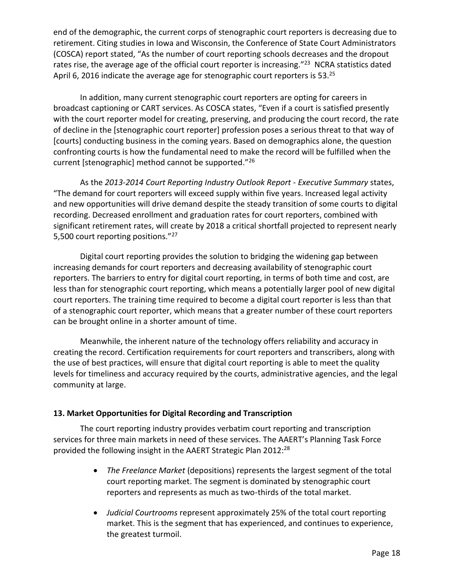end of the demographic, the current corps of stenographic court reporters is decreasing due to retirement. Citing studies in Iowa and Wisconsin, the Conference of State Court Administrators (COSCA) report stated, "As the number of court reporting schools decreases and the dropout rates rise, the average age of the official court reporter is increasing."<sup>23</sup> NCRA statistics dated April 6, 2016 indicate the average age for stenographic court reporters is 53.<sup>25</sup>

In addition, many current stenographic court reporters are opting for careers in broadcast captioning or CART services. As COSCA states, "Even if a court is satisfied presently with the court reporter model for creating, preserving, and producing the court record, the rate of decline in the [stenographic court reporter] profession poses a serious threat to that way of [courts] conducting business in the coming years. Based on demographics alone, the question confronting courts is how the fundamental need to make the record will be fulfilled when the current [stenographic] method cannot be supported."<sup>26</sup>

As the *2013-2014 Court Reporting Industry Outlook Report - Executive Summary* states, "The demand for court reporters will exceed supply within five years. Increased legal activity and new opportunities will drive demand despite the steady transition of some courts to digital recording. Decreased enrollment and graduation rates for court reporters, combined with significant retirement rates, will create by 2018 a critical shortfall projected to represent nearly 5,500 court reporting positions."<sup>27</sup>

Digital court reporting provides the solution to bridging the widening gap between increasing demands for court reporters and decreasing availability of stenographic court reporters. The barriers to entry for digital court reporting, in terms of both time and cost, are less than for stenographic court reporting, which means a potentially larger pool of new digital court reporters. The training time required to become a digital court reporter is less than that of a stenographic court reporter, which means that a greater number of these court reporters can be brought online in a shorter amount of time.

Meanwhile, the inherent nature of the technology offers reliability and accuracy in creating the record. Certification requirements for court reporters and transcribers, along with the use of best practices, will ensure that digital court reporting is able to meet the quality levels for timeliness and accuracy required by the courts, administrative agencies, and the legal community at large.

### <span id="page-17-0"></span>**13. Market Opportunities for Digital Recording and Transcription**

The court reporting industry provides verbatim court reporting and transcription services for three main markets in need of these services. The AAERT's Planning Task Force provided the following insight in the AAERT Strategic Plan 2012:<sup>28</sup>

- *The Freelance Market* (depositions) represents the largest segment of the total court reporting market. The segment is dominated by stenographic court reporters and represents as much as two-thirds of the total market.
- *Judicial Courtrooms* represent approximately 25% of the total court reporting market. This is the segment that has experienced, and continues to experience, the greatest turmoil.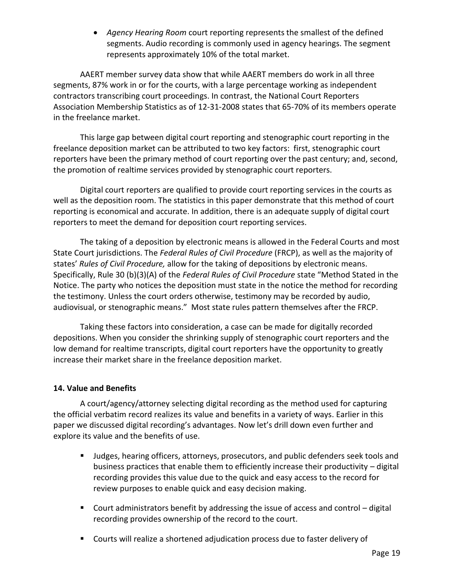*Agency Hearing Room* court reporting represents the smallest of the defined segments. Audio recording is commonly used in agency hearings. The segment represents approximately 10% of the total market.

AAERT member survey data show that while AAERT members do work in all three segments, 87% work in or for the courts, with a large percentage working as independent contractors transcribing court proceedings. In contrast, the National Court Reporters Association Membership Statistics as of 12-31-2008 states that 65-70% of its members operate in the freelance market.

This large gap between digital court reporting and stenographic court reporting in the freelance deposition market can be attributed to two key factors: first, stenographic court reporters have been the primary method of court reporting over the past century; and, second, the promotion of realtime services provided by stenographic court reporters.

Digital court reporters are qualified to provide court reporting services in the courts as well as the deposition room. The statistics in this paper demonstrate that this method of court reporting is economical and accurate. In addition, there is an adequate supply of digital court reporters to meet the demand for deposition court reporting services.

The taking of a deposition by electronic means is allowed in the Federal Courts and most State Court jurisdictions. The *Federal Rules of Civil Procedure* (FRCP), as well as the majority of states' *Rules of Civil Procedure,* allow for the taking of depositions by electronic means. Specifically, Rule 30 (b)(3)(A) of the *Federal Rules of Civil Procedure* state "Method Stated in the Notice. The party who notices the deposition must state in the notice the method for recording the testimony. Unless the court orders otherwise, testimony may be recorded by audio, audiovisual, or stenographic means." Most state rules pattern themselves after the FRCP.

Taking these factors into consideration, a case can be made for digitally recorded depositions. When you consider the shrinking supply of stenographic court reporters and the low demand for realtime transcripts, digital court reporters have the opportunity to greatly increase their market share in the freelance deposition market.

#### <span id="page-18-0"></span>**14. Value and Benefits**

A court/agency/attorney selecting digital recording as the method used for capturing the official verbatim record realizes its value and benefits in a variety of ways. Earlier in this paper we discussed digital recording's advantages. Now let's drill down even further and explore its value and the benefits of use.

- Judges, hearing officers, attorneys, prosecutors, and public defenders seek tools and business practices that enable them to efficiently increase their productivity – digital recording provides this value due to the quick and easy access to the record for review purposes to enable quick and easy decision making.
- Court administrators benefit by addressing the issue of access and control digital recording provides ownership of the record to the court.
- Courts will realize a shortened adjudication process due to faster delivery of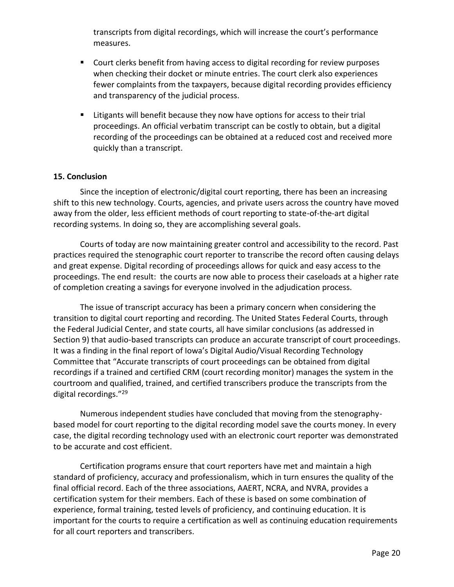transcripts from digital recordings, which will increase the court's performance measures.

- **Court clerks benefit from having access to digital recording for review purposes** when checking their docket or minute entries. The court clerk also experiences fewer complaints from the taxpayers, because digital recording provides efficiency and transparency of the judicial process.
- Litigants will benefit because they now have options for access to their trial proceedings. An official verbatim transcript can be costly to obtain, but a digital recording of the proceedings can be obtained at a reduced cost and received more quickly than a transcript.

#### <span id="page-19-0"></span>**15. Conclusion**

Since the inception of electronic/digital court reporting, there has been an increasing shift to this new technology. Courts, agencies, and private users across the country have moved away from the older, less efficient methods of court reporting to state-of-the-art digital recording systems. In doing so, they are accomplishing several goals.

Courts of today are now maintaining greater control and accessibility to the record. Past practices required the stenographic court reporter to transcribe the record often causing delays and great expense. Digital recording of proceedings allows for quick and easy access to the proceedings. The end result: the courts are now able to process their caseloads at a higher rate of completion creating a savings for everyone involved in the adjudication process.

The issue of transcript accuracy has been a primary concern when considering the transition to digital court reporting and recording. The United States Federal Courts, through the Federal Judicial Center, and state courts, all have similar conclusions (as addressed in Section 9) that audio-based transcripts can produce an accurate transcript of court proceedings. It was a finding in the final report of Iowa's Digital Audio/Visual Recording Technology Committee that "Accurate transcripts of court proceedings can be obtained from digital recordings if a trained and certified CRM (court recording monitor) manages the system in the courtroom and qualified, trained, and certified transcribers produce the transcripts from the digital recordings."<sup>29</sup>

Numerous independent studies have concluded that moving from the stenographybased model for court reporting to the digital recording model save the courts money. In every case, the digital recording technology used with an electronic court reporter was demonstrated to be accurate and cost efficient.

Certification programs ensure that court reporters have met and maintain a high standard of proficiency, accuracy and professionalism, which in turn ensures the quality of the final official record. Each of the three associations, AAERT, NCRA, and NVRA, provides a certification system for their members. Each of these is based on some combination of experience, formal training, tested levels of proficiency, and continuing education. It is important for the courts to require a certification as well as continuing education requirements for all court reporters and transcribers.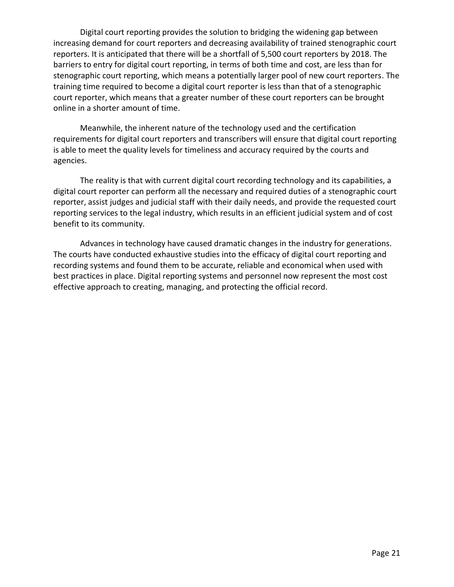Digital court reporting provides the solution to bridging the widening gap between increasing demand for court reporters and decreasing availability of trained stenographic court reporters. It is anticipated that there will be a shortfall of 5,500 court reporters by 2018. The barriers to entry for digital court reporting, in terms of both time and cost, are less than for stenographic court reporting, which means a potentially larger pool of new court reporters. The training time required to become a digital court reporter is less than that of a stenographic court reporter, which means that a greater number of these court reporters can be brought online in a shorter amount of time.

Meanwhile, the inherent nature of the technology used and the certification requirements for digital court reporters and transcribers will ensure that digital court reporting is able to meet the quality levels for timeliness and accuracy required by the courts and agencies.

The reality is that with current digital court recording technology and its capabilities, a digital court reporter can perform all the necessary and required duties of a stenographic court reporter, assist judges and judicial staff with their daily needs, and provide the requested court reporting services to the legal industry, which results in an efficient judicial system and of cost benefit to its community.

Advances in technology have caused dramatic changes in the industry for generations. The courts have conducted exhaustive studies into the efficacy of digital court reporting and recording systems and found them to be accurate, reliable and economical when used with best practices in place. Digital reporting systems and personnel now represent the most cost effective approach to creating, managing, and protecting the official record.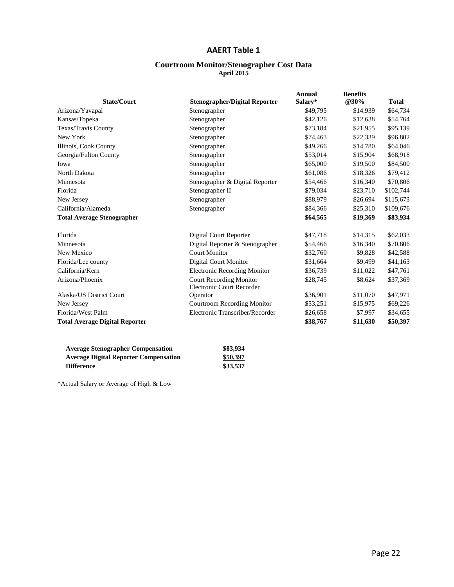#### **AAERT Table 1**

#### **Courtroom Monitor/Stenographer Cost Data April 2015**

<span id="page-21-0"></span>

| <b>State/Court</b>                    |                                      | Annual   | <b>Benefits</b><br>@30% | <b>Total</b> |
|---------------------------------------|--------------------------------------|----------|-------------------------|--------------|
|                                       | <b>Stenographer/Digital Reporter</b> | Salary*  |                         |              |
| Arizona/Yavapai                       | Stenographer                         | \$49,795 | \$14,939                | \$64,734     |
| Kansas/Topeka                         | Stenographer                         | \$42,126 | \$12,638                | \$54,764     |
| Texas/Travis County                   | Stenographer                         | \$73,184 | \$21,955                | \$95,139     |
| New York                              | Stenographer                         | \$74,463 | \$22,339                | \$96,802     |
| Illinois, Cook County                 | Stenographer                         | \$49,266 | \$14,780                | \$64,046     |
| Georgia/Fulton County                 | Stenographer                         | \$53,014 | \$15,904                | \$68,918     |
| Iowa                                  | Stenographer                         | \$65,000 | \$19,500                | \$84,500     |
| North Dakota                          | Stenographer                         | \$61,086 | \$18,326                | \$79,412     |
| Minnesota                             | Stenographer & Digital Reporter      | \$54,466 | \$16,340                | \$70,806     |
| Florida                               | Stenographer II                      | \$79,034 | \$23,710                | \$102,744    |
| New Jersey                            | Stenographer                         | \$88,979 | \$26,694                | \$115,673    |
| California/Alameda                    | Stenographer                         | \$84,366 | \$25,310                | \$109,676    |
| <b>Total Average Stenographer</b>     |                                      | \$64,565 | \$19,369                | \$83,934     |
| Florida                               | Digital Court Reporter               | \$47,718 | \$14,315                | \$62,033     |
| Minnesota                             | Digital Reporter & Stenographer      | \$54,466 | \$16,340                | \$70,806     |
| New Mexico                            | <b>Court Monitor</b>                 | \$32,760 | \$9,828                 | \$42,588     |
| Florida/Lee county                    | Digital Court Monitor                | \$31,664 | \$9,499                 | \$41,163     |
| California/Kern                       | <b>Electronic Recording Monitor</b>  | \$36,739 | \$11,022                | \$47,761     |
| Arizona/Phoenix                       | <b>Court Recording Monitor</b>       | \$28,745 | \$8,624                 | \$37,369     |
|                                       | <b>Electronic Court Recorder</b>     |          |                         |              |
| Alaska/US District Court              | Operator                             | \$36,901 | \$11,070                | \$47,971     |
| New Jersey                            | <b>Courtroom Recording Monitor</b>   | \$53,251 | \$15,975                | \$69,226     |
| Florida/West Palm                     | Electronic Transcriber/Recorder      | \$26,658 | \$7,997                 | \$34,655     |
| <b>Total Average Digital Reporter</b> |                                      | \$38,767 | \$11,630                | \$50,397     |

| <b>Average Stenographer Compensation</b>     | \$83,934 |
|----------------------------------------------|----------|
| <b>Average Digital Reporter Compensation</b> | \$50.397 |
| <b>Difference</b>                            | \$33,537 |

\*Actual Salary or Average of High & Low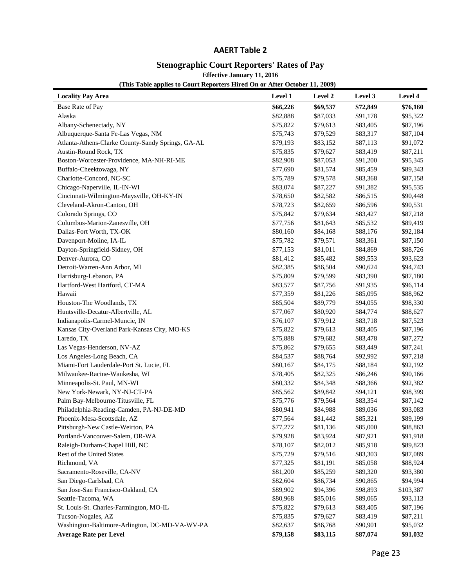### **AAERT Table 2**

## **Stenographic Court Reporters' Rates of Pay**

| <b>Effective January 11, 2016</b> |
|-----------------------------------|
|-----------------------------------|

#### **(This Table applies to Court Reporters Hired On or After October 11, 2009)**

<span id="page-22-0"></span>

| <b>Locality Pay Area</b>                          | Level 1  | Level 2  | Level 3  | Level 4   |
|---------------------------------------------------|----------|----------|----------|-----------|
| Base Rate of Pay                                  | \$66,226 | \$69,537 | \$72,849 | \$76,160  |
| Alaska                                            | \$82,888 | \$87,033 | \$91,178 | \$95,322  |
| Albany-Schenectady, NY                            | \$75,822 | \$79,613 | \$83,405 | \$87,196  |
| Albuquerque-Santa Fe-Las Vegas, NM                | \$75,743 | \$79,529 | \$83,317 | \$87,104  |
| Atlanta-Athens-Clarke County-Sandy Springs, GA-AL | \$79,193 | \$83,152 | \$87,113 | \$91,072  |
| Austin-Round Rock, TX                             | \$75,835 | \$79,627 | \$83,419 | \$87,211  |
| Boston-Worcester-Providence, MA-NH-RI-ME          | \$82,908 | \$87,053 | \$91,200 | \$95,345  |
| Buffalo-Cheektowaga, NY                           | \$77,690 | \$81,574 | \$85,459 | \$89,343  |
| Charlotte-Concord, NC-SC                          | \$75,789 | \$79,578 | \$83,368 | \$87,158  |
| Chicago-Naperville, IL-IN-WI                      | \$83,074 | \$87,227 | \$91,382 | \$95,535  |
| Cincinnati-Wilmington-Maysville, OH-KY-IN         | \$78,650 | \$82,582 | \$86,515 | \$90,448  |
| Cleveland-Akron-Canton, OH                        | \$78,723 | \$82,659 | \$86,596 | \$90,531  |
| Colorado Springs, CO                              | \$75,842 | \$79,634 | \$83,427 | \$87,218  |
| Columbus-Marion-Zanesville, OH                    | \$77,756 | \$81,643 | \$85,532 | \$89,419  |
| Dallas-Fort Worth, TX-OK                          | \$80,160 | \$84,168 | \$88,176 | \$92,184  |
| Davenport-Moline, IA-IL                           | \$75,782 | \$79,571 | \$83,361 | \$87,150  |
| Dayton-Springfield-Sidney, OH                     | \$77,153 | \$81,011 | \$84,869 | \$88,726  |
| Denver-Aurora, CO                                 | \$81,412 | \$85,482 | \$89,553 | \$93,623  |
| Detroit-Warren-Ann Arbor, MI                      | \$82,385 | \$86,504 | \$90,624 | \$94,743  |
| Harrisburg-Lebanon, PA                            | \$75,809 | \$79,599 | \$83,390 | \$87,180  |
| Hartford-West Hartford, CT-MA                     | \$83,577 | \$87,756 | \$91,935 | \$96,114  |
| Hawaii                                            | \$77,359 | \$81,226 | \$85,095 | \$88,962  |
| Houston-The Woodlands, TX                         | \$85,504 | \$89,779 | \$94,055 | \$98,330  |
| Huntsville-Decatur-Albertville, AL                | \$77,067 | \$80,920 | \$84,774 | \$88,627  |
| Indianapolis-Carmel-Muncie, IN                    | \$76,107 | \$79,912 | \$83,718 | \$87,523  |
| Kansas City-Overland Park-Kansas City, MO-KS      | \$75,822 | \$79,613 | \$83,405 | \$87,196  |
| Laredo, TX                                        | \$75,888 | \$79,682 | \$83,478 | \$87,272  |
| Las Vegas-Henderson, NV-AZ                        | \$75,862 | \$79,655 | \$83,449 | \$87,241  |
| Los Angeles-Long Beach, CA                        | \$84,537 | \$88,764 | \$92,992 | \$97,218  |
| Miami-Fort Lauderdale-Port St. Lucie, FL          | \$80,167 | \$84,175 | \$88,184 | \$92,192  |
| Milwaukee-Racine-Waukesha, WI                     | \$78,405 | \$82,325 | \$86,246 | \$90,166  |
| Minneapolis-St. Paul, MN-WI                       | \$80,332 | \$84,348 | \$88,366 | \$92,382  |
| New York-Newark, NY-NJ-CT-PA                      | \$85,562 | \$89,842 | \$94,121 | \$98,399  |
| Palm Bay-Melbourne-Titusville, FL                 | \$75,776 | \$79,564 | \$83,354 | \$87,142  |
| Philadelphia-Reading-Camden, PA-NJ-DE-MD          | \$80,941 | \$84,988 | \$89,036 | \$93,083  |
| Phoenix-Mesa-Scottsdale, AZ                       | \$77,564 | \$81,442 | \$85,321 | \$89,199  |
| Pittsburgh-New Castle-Weirton, PA                 | \$77,272 | \$81,136 | \$85,000 | \$88,863  |
| Portland-Vancouver-Salem, OR-WA                   | \$79,928 | \$83,924 | \$87,921 | \$91,918  |
| Raleigh-Durham-Chapel Hill, NC                    | \$78,107 | \$82,012 | \$85,918 | \$89,823  |
| Rest of the United States                         | \$75,729 | \$79,516 | \$83,303 | \$87,089  |
| Richmond, VA                                      | \$77,325 | \$81,191 | \$85,058 | \$88,924  |
| Sacramento-Roseville, CA-NV                       | \$81,200 | \$85,259 | \$89,320 | \$93,380  |
| San Diego-Carlsbad, CA                            | \$82,604 | \$86,734 | \$90,865 | \$94,994  |
| San Jose-San Francisco-Oakland, CA                | \$89,902 | \$94,396 | \$98,893 | \$103,387 |
| Seattle-Tacoma, WA                                | \$80,968 | \$85,016 | \$89,065 | \$93,113  |
| St. Louis-St. Charles-Farmington, MO-IL           | \$75,822 | \$79,613 | \$83,405 | \$87,196  |
| Tucson-Nogales, AZ                                | \$75,835 | \$79,627 | \$83,419 | \$87,211  |
| Washington-Baltimore-Arlington, DC-MD-VA-WV-PA    | \$82,637 | \$86,768 | \$90,901 | \$95,032  |
| <b>Average Rate per Level</b>                     | \$79,158 | \$83,115 | \$87,074 | \$91,032  |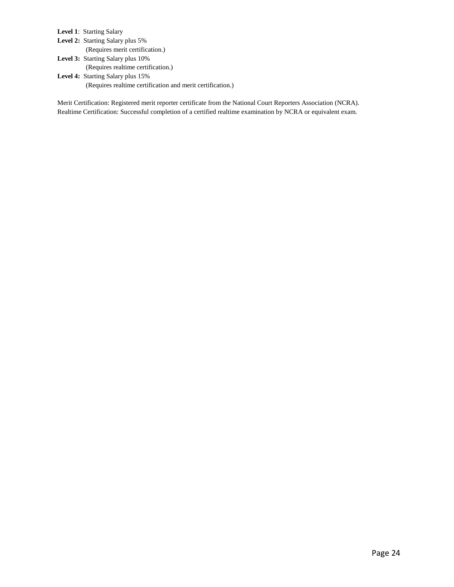**Level 1**: Starting Salary

**Level 2:** Starting Salary plus 5%

(Requires merit certification.)

- **Level 3:** Starting Salary plus 10% (Requires realtime certification.)
- **Level 4:** Starting Salary plus 15% (Requires realtime certification and merit certification.)

Merit Certification: Registered merit reporter certificate from the National Court Reporters Association (NCRA). Realtime Certification: Successful completion of a certified realtime examination by NCRA or equivalent exam.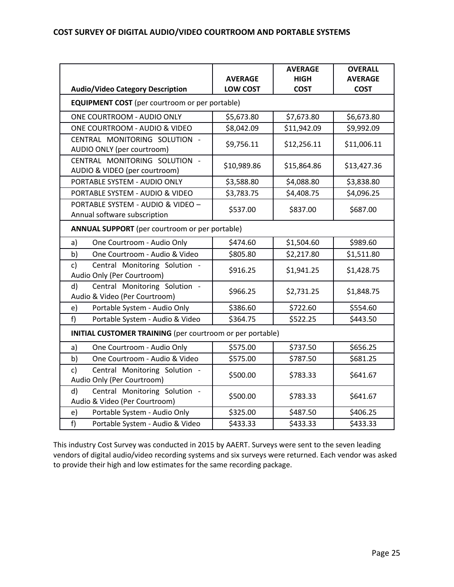<span id="page-24-0"></span>

|                                                                      | <b>AVERAGE</b>  | <b>AVERAGE</b><br><b>HIGH</b> | <b>OVERALL</b><br><b>AVERAGE</b> |
|----------------------------------------------------------------------|-----------------|-------------------------------|----------------------------------|
| <b>Audio/Video Category Description</b>                              | <b>LOW COST</b> | <b>COST</b>                   | <b>COST</b>                      |
| <b>EQUIPMENT COST</b> (per courtroom or per portable)                |                 |                               |                                  |
| ONE COURTROOM - AUDIO ONLY                                           | \$5,673.80      | \$7,673.80                    | \$6,673.80                       |
| ONE COURTROOM - AUDIO & VIDEO                                        | \$8,042.09      | \$11,942.09                   | \$9,992.09                       |
| CENTRAL MONITORING SOLUTION -<br>AUDIO ONLY (per courtroom)          | \$9,756.11      | \$12,256.11                   | \$11,006.11                      |
| CENTRAL MONITORING SOLUTION -<br>AUDIO & VIDEO (per courtroom)       | \$10,989.86     | \$15,864.86                   | \$13,427.36                      |
| PORTABLE SYSTEM - AUDIO ONLY                                         | \$3,588.80      | \$4,088.80                    | \$3,838.80                       |
| PORTABLE SYSTEM - AUDIO & VIDEO                                      | \$3,783.75      | \$4,408.75                    | \$4,096.25                       |
| PORTABLE SYSTEM - AUDIO & VIDEO -<br>Annual software subscription    | \$537.00        | \$837.00                      | \$687.00                         |
| <b>ANNUAL SUPPORT</b> (per courtroom or per portable)                |                 |                               |                                  |
| a)<br>One Courtroom - Audio Only                                     | \$474.60        | \$1,504.60                    | \$989.60                         |
| b)<br>One Courtroom - Audio & Video                                  | \$805.80        | \$2,217.80                    | \$1,511.80                       |
| c)<br>Central Monitoring Solution -<br>Audio Only (Per Courtroom)    | \$916.25        | \$1,941.25                    | \$1,428.75                       |
| Central Monitoring Solution -<br>d)<br>Audio & Video (Per Courtroom) | \$966.25        | \$2,731.25                    | \$1,848.75                       |
| e)<br>Portable System - Audio Only                                   | \$386.60        | \$722.60                      | \$554.60                         |
| f<br>Portable System - Audio & Video                                 | \$364.75        | \$522.25                      | \$443.50                         |
| <b>INITIAL CUSTOMER TRAINING</b> (per courtroom or per portable)     |                 |                               |                                  |
| One Courtroom - Audio Only<br>a)                                     | \$575.00        | \$737.50                      | \$656.25                         |
| One Courtroom - Audio & Video<br>b)                                  | \$575.00        | \$787.50                      | \$681.25                         |
| c)<br>Central Monitoring Solution -<br>Audio Only (Per Courtroom)    | \$500.00        | \$783.33                      | \$641.67                         |
| Central Monitoring Solution -<br>d)<br>Audio & Video (Per Courtroom) | \$500.00        | \$783.33                      | \$641.67                         |
| Portable System - Audio Only<br>e)                                   | \$325.00        | \$487.50                      | \$406.25                         |
| f<br>Portable System - Audio & Video                                 | \$433.33        | \$433.33                      | \$433.33                         |

This industry Cost Survey was conducted in 2015 by AAERT. Surveys were sent to the seven leading vendors of digital audio/video recording systems and six surveys were returned. Each vendor was asked to provide their high and low estimates for the same recording package.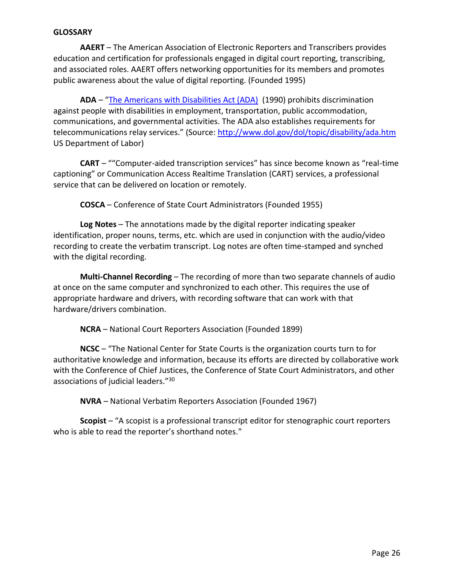#### <span id="page-25-0"></span>**GLOSSARY**

**AAERT** – The American Association of Electronic Reporters and Transcribers provides education and certification for professionals engaged in digital court reporting, transcribing, and associated roles. AAERT offers networking opportunities for its members and promotes public awareness about the value of digital reporting. (Founded 1995)

**ADA** – "[The Americans with Disabilities Act \(ADA\)](http://www.dol.gov/cgi-bin/leave-dol.asp?exiturl=http://www.ada.gov/&exitTitle=The_Americans_with_Disabilities_Act&fedpage=yes) (1990) prohibits discrimination against people with disabilities in employment, transportation, public accommodation, communications, and governmental activities. The ADA also establishes requirements for telecommunications relay services." (Source: <http://www.dol.gov/dol/topic/disability/ada.htm> US Department of Labor)

**CART** – ""Computer-aided transcription services" has since become known as "real-time captioning" or Communication Access Realtime Translation (CART) services, a professional service that can be delivered on location or remotely.

**COSCA** – Conference of State Court Administrators (Founded 1955)

**Log Notes** – The annotations made by the digital reporter indicating speaker identification, proper nouns, terms, etc. which are used in conjunction with the audio/video recording to create the verbatim transcript. Log notes are often time-stamped and synched with the digital recording.

**Multi-Channel Recording** – The recording of more than two separate channels of audio at once on the same computer and synchronized to each other. This requires the use of appropriate hardware and drivers, with recording software that can work with that hardware/drivers combination.

**NCRA** – National Court Reporters Association (Founded 1899)

**NCSC** – "The National Center for State Courts is the organization courts turn to for authoritative knowledge and information, because its efforts are directed by collaborative work with the Conference of Chief Justices, the Conference of State Court Administrators, and other associations of judicial leaders."<sup>30</sup>

**NVRA** – National Verbatim Reporters Association (Founded 1967)

**Scopist** – "A scopist is a professional transcript editor for stenographic court reporters who is able to read the reporter's shorthand notes."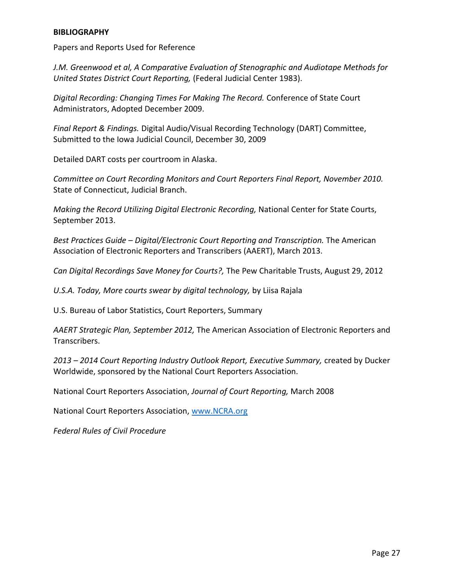#### <span id="page-26-0"></span>**BIBLIOGRAPHY**

Papers and Reports Used for Reference

*J.M. Greenwood et al, A Comparative Evaluation of Stenographic and Audiotape Methods for United States District Court Reporting,* (Federal Judicial Center 1983).

*Digital Recording: Changing Times For Making The Record.* Conference of State Court Administrators, Adopted December 2009.

*Final Report & Findings.* Digital Audio/Visual Recording Technology (DART) Committee, Submitted to the Iowa Judicial Council, December 30, 2009

Detailed DART costs per courtroom in Alaska.

*Committee on Court Recording Monitors and Court Reporters Final Report, November 2010.*  State of Connecticut, Judicial Branch.

*Making the Record Utilizing Digital Electronic Recording,* National Center for State Courts, September 2013.

*Best Practices Guide – Digital/Electronic Court Reporting and Transcription.* The American Association of Electronic Reporters and Transcribers (AAERT), March 2013.

*Can Digital Recordings Save Money for Courts?,* The Pew Charitable Trusts, August 29, 2012

*U.S.A. Today, More courts swear by digital technology,* by Liisa Rajala

U.S. Bureau of Labor Statistics, Court Reporters, Summary

*AAERT Strategic Plan, September 2012,* The American Association of Electronic Reporters and Transcribers.

*2013 – 2014 Court Reporting Industry Outlook Report, Executive Summary,* created by Ducker Worldwide, sponsored by the National Court Reporters Association.

National Court Reporters Association, *Journal of Court Reporting,* March 2008

National Court Reporters Association, [www.NCRA.org](http://www.ncra.org/)

*Federal Rules of Civil Procedure*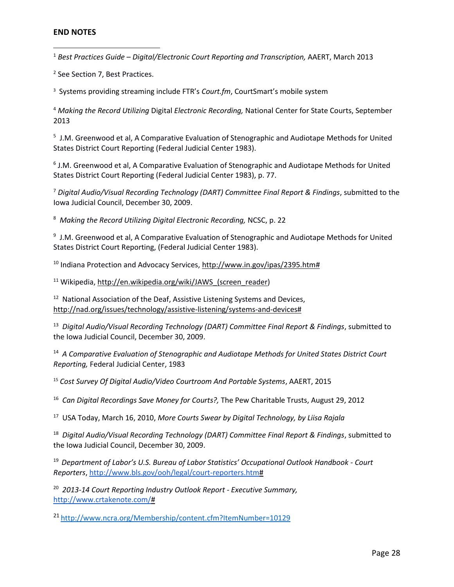#### <span id="page-27-0"></span>**END NOTES**

 $\overline{\phantom{a}}$ 

<sup>1</sup> *Best Practices Guide – Digital/Electronic Court Reporting and Transcription,* AAERT, March 2013

<sup>2</sup> See Section 7, Best Practices.

3 Systems providing streaming include FTR's *Court.fm*, CourtSmart's mobile system

<sup>4</sup> *Making the Record Utilizing* Digital *Electronic Recording,* National Center for State Courts, September 2013

<sup>5</sup> J.M. Greenwood et al, A Comparative Evaluation of Stenographic and Audiotape Methods for United States District Court Reporting (Federal Judicial Center 1983).

<sup>6</sup> J.M. Greenwood et al, A Comparative Evaluation of Stenographic and Audiotape Methods for United States District Court Reporting (Federal Judicial Center 1983), p. 77.

<sup>7</sup> *Digital Audio/Visual Recording Technology (DART) Committee Final Report & Findings*, submitted to the Iowa Judicial Council, December 30, 2009.

<sup>8</sup> *Making the Record Utilizing Digital Electronic Recording,* NCSC, p. 22

<sup>9</sup> J.M. Greenwood et al, A Comparative Evaluation of Stenographic and Audiotape Methods for United States District Court Reporting, (Federal Judicial Center 1983).

<sup>10</sup> Indiana Protection and Advocacy Services[, http://www.in.gov/ipas/2395.htm#](http://www.in.gov/ipas/2395.htm%20/)

<sup>11</sup> Wikipedia, http://en.wikipedia.org/wiki/JAWS (screen\_reader)

<sup>12</sup> National Association of the Deaf, Assistive Listening Systems and Devices, [http://nad.org/issues/technology/assistive-listening/systems-and-devices#](http://nad.org/issues/technology/assistive-listening/systems-and-devices%20/)

13 *Digital Audio/Visual Recording Technology (DART) Committee Final Report & Findings*, submitted to the Iowa Judicial Council, December 30, 2009.

<sup>14</sup> A Comparative Evaluation of Stenographic and Audiotape Methods for United States District Court *Reporting,* Federal Judicial Center, 1983

<sup>15</sup> *Cost Survey Of Digital Audio/Video Courtroom And Portable Systems*, AAERT, 2015

16 *Can Digital Recordings Save Money for Courts?,* The Pew Charitable Trusts, August 29, 2012

17 USA Today, March 16, 2010, *More Courts Swear by Digital Technology, by Liisa Rajala*

18 *Digital Audio/Visual Recording Technology (DART) Committee Final Report & Findings*, submitted to the Iowa Judicial Council, December 30, 2009.

<sup>19</sup>*Department of Labor's U.S. Bureau of Labor Statistics' Occupational Outlook Handbook - Court Reporters*[, http://www.bls.gov/ooh/legal/court-reporters.htm#](http://www.bls.gov/ooh/legal/court-reporters.htm%20/)

20 *2013-14 Court Reporting Industry Outlook Report - Executive Summary,* http://www.crtakenote.com/#

<sup>21</sup><http://www.ncra.org/Membership/content.cfm?ItemNumber=10129>